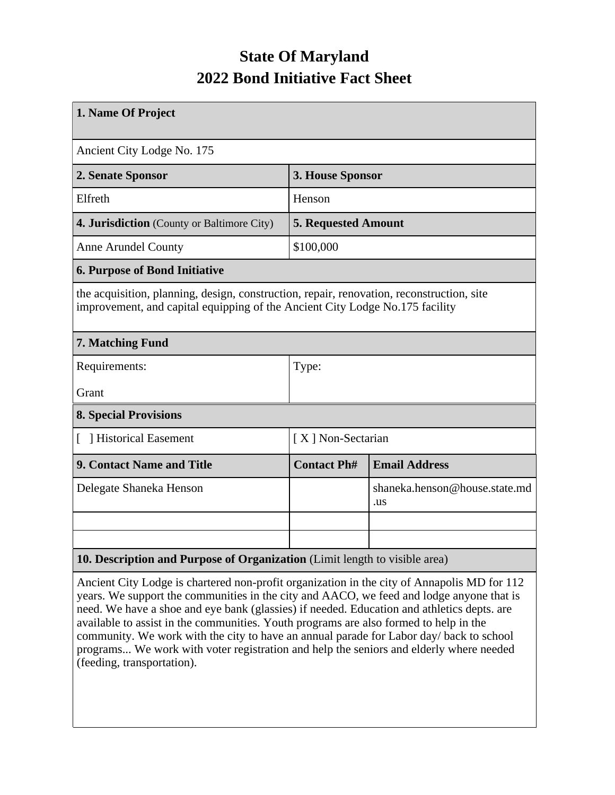## **State Of Maryland 2022 Bond Initiative Fact Sheet**

| 1. Name Of Project                                                                                                                                                        |                            |                                      |  |  |
|---------------------------------------------------------------------------------------------------------------------------------------------------------------------------|----------------------------|--------------------------------------|--|--|
| Ancient City Lodge No. 175                                                                                                                                                |                            |                                      |  |  |
| 2. Senate Sponsor                                                                                                                                                         | 3. House Sponsor           |                                      |  |  |
| Elfreth                                                                                                                                                                   | Henson                     |                                      |  |  |
| 4. Jurisdiction (County or Baltimore City)                                                                                                                                | <b>5. Requested Amount</b> |                                      |  |  |
| <b>Anne Arundel County</b>                                                                                                                                                | \$100,000                  |                                      |  |  |
| <b>6. Purpose of Bond Initiative</b>                                                                                                                                      |                            |                                      |  |  |
| the acquisition, planning, design, construction, repair, renovation, reconstruction, site<br>improvement, and capital equipping of the Ancient City Lodge No.175 facility |                            |                                      |  |  |
| 7. Matching Fund                                                                                                                                                          |                            |                                      |  |  |
| Requirements:                                                                                                                                                             | Type:                      |                                      |  |  |
| Grant                                                                                                                                                                     |                            |                                      |  |  |
| <b>8. Special Provisions</b>                                                                                                                                              |                            |                                      |  |  |
| [ ] Historical Easement                                                                                                                                                   | [X] Non-Sectarian          |                                      |  |  |
| 9. Contact Name and Title                                                                                                                                                 | <b>Contact Ph#</b>         | <b>Email Address</b>                 |  |  |
| Delegate Shaneka Henson                                                                                                                                                   |                            | shaneka.henson@house.state.md<br>.us |  |  |
|                                                                                                                                                                           |                            |                                      |  |  |
|                                                                                                                                                                           |                            |                                      |  |  |
| 10. Description and Purpose of Organization (Limit length to visible area)                                                                                                |                            |                                      |  |  |

Ancient City Lodge is chartered non-profit organization in the city of Annapolis MD for 112 years. We support the communities in the city and AACO, we feed and lodge anyone that is need. We have a shoe and eye bank (glassies) if needed. Education and athletics depts. are available to assist in the communities. Youth programs are also formed to help in the community. We work with the city to have an annual parade for Labor day/ back to school programs... We work with voter registration and help the seniors and elderly where needed (feeding, transportation).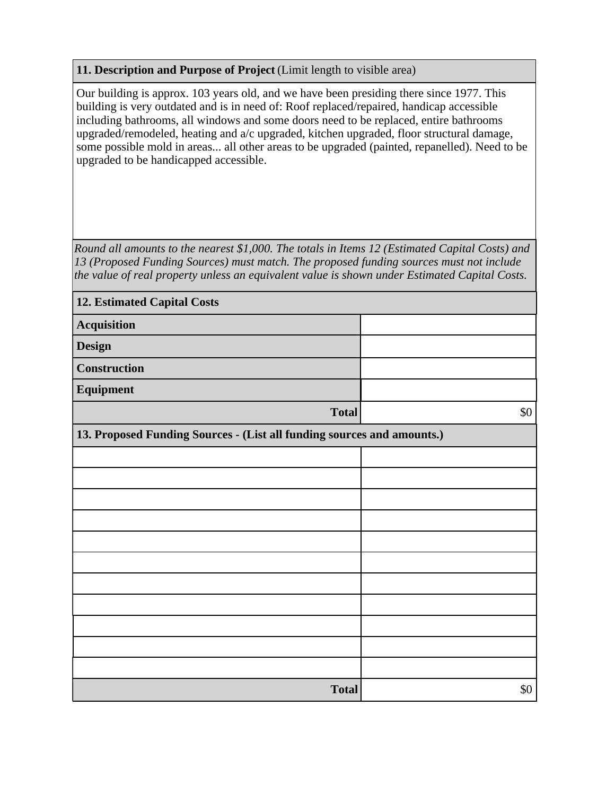## **11. Description and Purpose of Project** (Limit length to visible area)

Our building is approx. 103 years old, and we have been presiding there since 1977. This building is very outdated and is in need of: Roof replaced/repaired, handicap accessible including bathrooms, all windows and some doors need to be replaced, entire bathrooms upgraded/remodeled, heating and a/c upgraded, kitchen upgraded, floor structural damage, some possible mold in areas... all other areas to be upgraded (painted, repanelled). Need to be upgraded to be handicapped accessible.

*Round all amounts to the nearest \$1,000. The totals in Items 12 (Estimated Capital Costs) and 13 (Proposed Funding Sources) must match. The proposed funding sources must not include the value of real property unless an equivalent value is shown under Estimated Capital Costs.*

| <b>12. Estimated Capital Costs</b>                                     |       |  |  |  |
|------------------------------------------------------------------------|-------|--|--|--|
| Acquisition                                                            |       |  |  |  |
| <b>Design</b>                                                          |       |  |  |  |
| <b>Construction</b>                                                    |       |  |  |  |
| Equipment                                                              |       |  |  |  |
| <b>Total</b>                                                           | $\$0$ |  |  |  |
| 13. Proposed Funding Sources - (List all funding sources and amounts.) |       |  |  |  |
|                                                                        |       |  |  |  |
|                                                                        |       |  |  |  |
|                                                                        |       |  |  |  |
|                                                                        |       |  |  |  |
|                                                                        |       |  |  |  |
|                                                                        |       |  |  |  |
|                                                                        |       |  |  |  |
|                                                                        |       |  |  |  |
|                                                                        |       |  |  |  |
|                                                                        |       |  |  |  |
|                                                                        |       |  |  |  |
| <b>Total</b>                                                           | $\$0$ |  |  |  |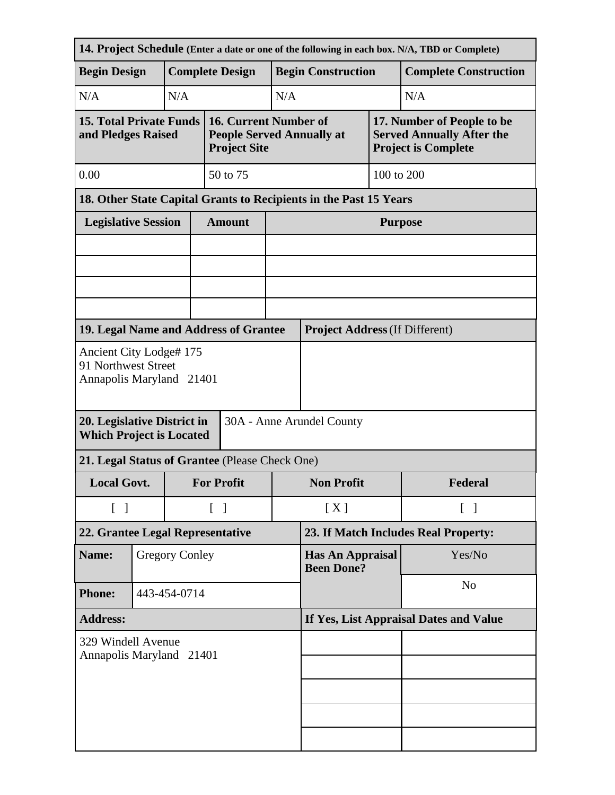|                                                                                             | 14. Project Schedule (Enter a date or one of the following in each box. N/A, TBD or Complete) |                       |                                        |                                                                                  |                                              |                                       |         |                                                                                              |  |
|---------------------------------------------------------------------------------------------|-----------------------------------------------------------------------------------------------|-----------------------|----------------------------------------|----------------------------------------------------------------------------------|----------------------------------------------|---------------------------------------|---------|----------------------------------------------------------------------------------------------|--|
| <b>Begin Design</b>                                                                         |                                                                                               |                       |                                        | <b>Complete Design</b>                                                           | <b>Begin Construction</b>                    |                                       |         | <b>Complete Construction</b>                                                                 |  |
| N/A                                                                                         |                                                                                               | N/A                   | N/A                                    |                                                                                  |                                              |                                       |         | N/A                                                                                          |  |
| <b>15. Total Private Funds</b><br>and Pledges Raised                                        |                                                                                               |                       |                                        | 16. Current Number of<br><b>People Served Annually at</b><br><b>Project Site</b> |                                              |                                       |         | 17. Number of People to be<br><b>Served Annually After the</b><br><b>Project is Complete</b> |  |
| 0.00                                                                                        | 50 to 75                                                                                      |                       |                                        |                                                                                  |                                              | 100 to 200                            |         |                                                                                              |  |
|                                                                                             | 18. Other State Capital Grants to Recipients in the Past 15 Years                             |                       |                                        |                                                                                  |                                              |                                       |         |                                                                                              |  |
| <b>Legislative Session</b>                                                                  |                                                                                               |                       |                                        | <b>Amount</b>                                                                    |                                              | <b>Purpose</b>                        |         |                                                                                              |  |
|                                                                                             |                                                                                               |                       |                                        |                                                                                  |                                              |                                       |         |                                                                                              |  |
|                                                                                             |                                                                                               |                       |                                        |                                                                                  |                                              |                                       |         |                                                                                              |  |
|                                                                                             |                                                                                               |                       |                                        |                                                                                  |                                              |                                       |         |                                                                                              |  |
|                                                                                             |                                                                                               |                       |                                        |                                                                                  |                                              |                                       |         |                                                                                              |  |
| 19. Legal Name and Address of Grantee                                                       |                                                                                               |                       |                                        |                                                                                  |                                              | <b>Project Address (If Different)</b> |         |                                                                                              |  |
| Ancient City Lodge# 175<br>91 Northwest Street<br>Annapolis Maryland 21401                  |                                                                                               |                       |                                        |                                                                                  |                                              |                                       |         |                                                                                              |  |
| 20. Legislative District in<br>30A - Anne Arundel County<br><b>Which Project is Located</b> |                                                                                               |                       |                                        |                                                                                  |                                              |                                       |         |                                                                                              |  |
| 21. Legal Status of Grantee (Please Check One)                                              |                                                                                               |                       |                                        |                                                                                  |                                              |                                       |         |                                                                                              |  |
| <b>Local Govt.</b>                                                                          |                                                                                               |                       | <b>For Profit</b>                      |                                                                                  | <b>Non Profit</b>                            |                                       | Federal |                                                                                              |  |
| $\begin{bmatrix} 1 \end{bmatrix}$                                                           |                                                                                               |                       |                                        | $\lceil \; \rceil$                                                               |                                              | [X]<br>$\lceil$ $\rceil$              |         |                                                                                              |  |
| 22. Grantee Legal Representative                                                            |                                                                                               |                       | 23. If Match Includes Real Property:   |                                                                                  |                                              |                                       |         |                                                                                              |  |
| Name:                                                                                       |                                                                                               | <b>Gregory Conley</b> |                                        |                                                                                  | <b>Has An Appraisal</b><br><b>Been Done?</b> |                                       | Yes/No  |                                                                                              |  |
| <b>Phone:</b>                                                                               |                                                                                               | 443-454-0714          |                                        |                                                                                  |                                              | N <sub>o</sub>                        |         |                                                                                              |  |
| <b>Address:</b>                                                                             |                                                                                               |                       | If Yes, List Appraisal Dates and Value |                                                                                  |                                              |                                       |         |                                                                                              |  |
| 329 Windell Avenue<br>Annapolis Maryland 21401                                              |                                                                                               |                       |                                        |                                                                                  |                                              |                                       |         |                                                                                              |  |
|                                                                                             |                                                                                               |                       |                                        |                                                                                  |                                              |                                       |         |                                                                                              |  |
|                                                                                             |                                                                                               |                       |                                        |                                                                                  |                                              |                                       |         |                                                                                              |  |
|                                                                                             |                                                                                               |                       |                                        |                                                                                  |                                              |                                       |         |                                                                                              |  |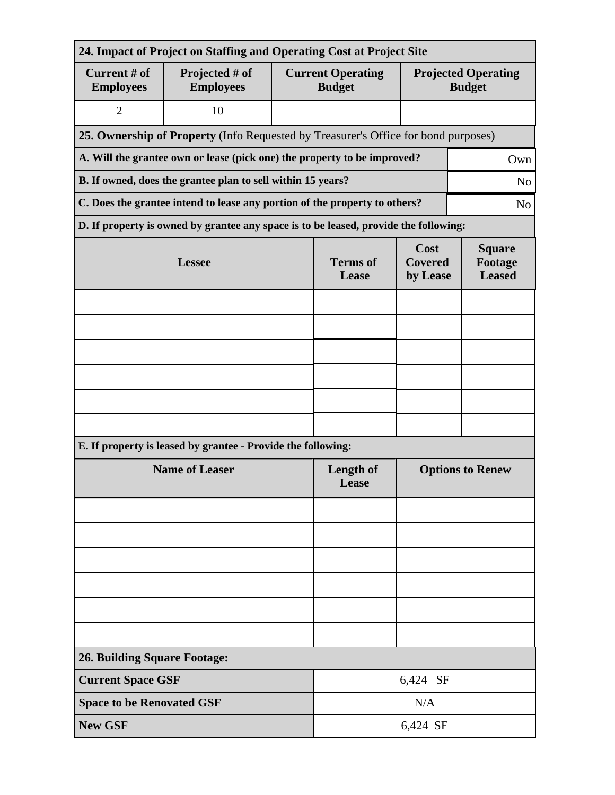| 24. Impact of Project on Staffing and Operating Cost at Project Site               |                                                                                      |                          |                                                                                 |                         |                                             |  |  |
|------------------------------------------------------------------------------------|--------------------------------------------------------------------------------------|--------------------------|---------------------------------------------------------------------------------|-------------------------|---------------------------------------------|--|--|
| Current # of<br><b>Employees</b>                                                   | Projected # of<br><b>Employees</b>                                                   |                          | <b>Current Operating</b><br><b>Budget</b>                                       |                         | <b>Projected Operating</b><br><b>Budget</b> |  |  |
| $\overline{2}$                                                                     | 10                                                                                   |                          |                                                                                 |                         |                                             |  |  |
| 25. Ownership of Property (Info Requested by Treasurer's Office for bond purposes) |                                                                                      |                          |                                                                                 |                         |                                             |  |  |
|                                                                                    | A. Will the grantee own or lease (pick one) the property to be improved?<br>Own      |                          |                                                                                 |                         |                                             |  |  |
|                                                                                    | B. If owned, does the grantee plan to sell within 15 years?<br>N <sub>o</sub>        |                          |                                                                                 |                         |                                             |  |  |
|                                                                                    | C. Does the grantee intend to lease any portion of the property to others?           |                          |                                                                                 |                         | N <sub>o</sub>                              |  |  |
|                                                                                    | D. If property is owned by grantee any space is to be leased, provide the following: |                          |                                                                                 |                         |                                             |  |  |
|                                                                                    | <b>Lessee</b>                                                                        | <b>Terms</b> of<br>Lease | Cost<br><b>Square</b><br><b>Covered</b><br>Footage<br><b>Leased</b><br>by Lease |                         |                                             |  |  |
|                                                                                    |                                                                                      |                          |                                                                                 |                         |                                             |  |  |
|                                                                                    |                                                                                      |                          |                                                                                 |                         |                                             |  |  |
|                                                                                    |                                                                                      |                          |                                                                                 |                         |                                             |  |  |
|                                                                                    |                                                                                      |                          |                                                                                 |                         |                                             |  |  |
|                                                                                    |                                                                                      |                          |                                                                                 |                         |                                             |  |  |
|                                                                                    |                                                                                      |                          |                                                                                 |                         |                                             |  |  |
|                                                                                    | E. If property is leased by grantee - Provide the following:                         |                          |                                                                                 |                         |                                             |  |  |
| <b>Name of Leaser</b>                                                              |                                                                                      |                          | <b>Length of</b><br>Lease                                                       | <b>Options to Renew</b> |                                             |  |  |
|                                                                                    |                                                                                      |                          |                                                                                 |                         |                                             |  |  |
|                                                                                    |                                                                                      |                          |                                                                                 |                         |                                             |  |  |
|                                                                                    |                                                                                      |                          |                                                                                 |                         |                                             |  |  |
|                                                                                    |                                                                                      |                          |                                                                                 |                         |                                             |  |  |
|                                                                                    |                                                                                      |                          |                                                                                 |                         |                                             |  |  |
|                                                                                    |                                                                                      |                          |                                                                                 |                         |                                             |  |  |
| <b>26. Building Square Footage:</b>                                                |                                                                                      |                          |                                                                                 |                         |                                             |  |  |
| <b>Current Space GSF</b>                                                           |                                                                                      |                          | 6,424 SF                                                                        |                         |                                             |  |  |
| <b>Space to be Renovated GSF</b>                                                   |                                                                                      |                          | N/A                                                                             |                         |                                             |  |  |
| <b>New GSF</b>                                                                     |                                                                                      |                          | 6,424 SF                                                                        |                         |                                             |  |  |